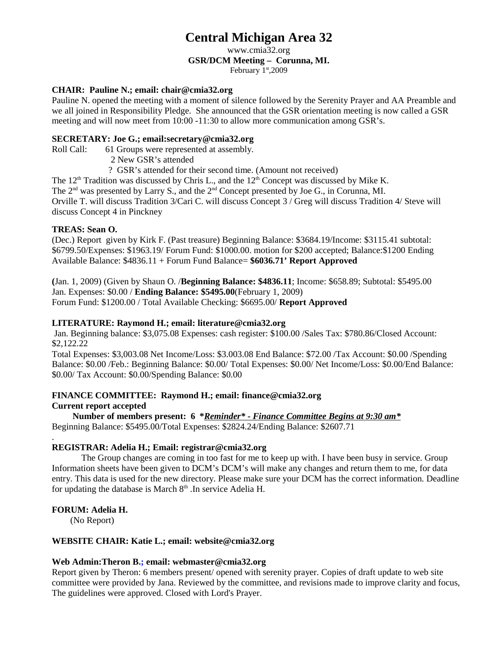## **Central Michigan Area 32**

www.cmia32.org

#### **GSR/DCM Meeting – Corunna, MI.**

February  $1<sup>st</sup>$ ,2009

#### **CHAIR: Pauline N.; email: chair@cmia32.org**

Pauline N. opened the meeting with a moment of silence followed by the Serenity Prayer and AA Preamble and we all joined in Responsibility Pledge. She announced that the GSR orientation meeting is now called a GSR meeting and will now meet from 10:00 -11:30 to allow more communication among GSR's.

#### **SECRETARY: Joe G.; email:secretary@cmia32.org**

Roll Call: 61 Groups were represented at assembly.

2 New GSR's attended

? GSR's attended for their second time. (Amount not received)

The  $12<sup>th</sup>$  Tradition was discussed by Chris L., and the  $12<sup>th</sup>$  Concept was discussed by Mike K.

The  $2<sup>nd</sup>$  was presented by Larry S., and the  $2<sup>nd</sup>$  Concept presented by Joe G., in Corunna, MI.

Orville T. will discuss Tradition 3/Cari C. will discuss Concept 3 / Greg will discuss Tradition 4/ Steve will discuss Concept 4 in Pinckney

#### **TREAS: Sean O.**

(Dec.) Report given by Kirk F. (Past treasure) Beginning Balance: \$3684.19/Income: \$3115.41 subtotal: \$6799.50/Expenses: \$1963.19/ Forum Fund: \$1000.00. motion for \$200 accepted; Balance:\$1200 Ending Available Balance: \$4836.11 + Forum Fund Balance= **\$6036.71' Report Approved** 

**(**Jan. 1, 2009) (Given by Shaun O. /**Beginning Balance: \$4836.11**; Income: \$658.89; Subtotal: \$5495.00 Jan. Expenses: \$0.00 / **Ending Balance: \$5495.00**(February 1, 2009) Forum Fund: \$1200.00 / Total Available Checking: \$6695.00/ **Report Approved**

#### **LITERATURE: Raymond H.; email: literature@cmia32.org**

Jan. Beginning balance: \$3,075.08 Expenses: cash register: \$100.00 /Sales Tax: \$780.86/Closed Account: \$2,122.22

Total Expenses: \$3,003.08 Net Income/Loss: \$3.003.08 End Balance: \$72.00 /Tax Account: \$0.00 /Spending Balance: \$0.00 /Feb.: Beginning Balance: \$0.00/ Total Expenses: \$0.00/ Net Income/Loss: \$0.00/End Balance: \$0.00/ Tax Account: \$0.00/Spending Balance: \$0.00

#### **FINANCE COMMITTEE: Raymond H.; email: finance@cmia32.org Current report accepted**

**Number of members present: 6 \****Reminder\* - Finance Committee Begins at 9:30 am\** Beginning Balance: \$5495.00/Total Expenses: \$2824.24/Ending Balance: \$2607.71

#### . **REGISTRAR: Adelia H.; Email: registrar@cmia32.org**

The Group changes are coming in too fast for me to keep up with. I have been busy in service. Group Information sheets have been given to DCM's DCM's will make any changes and return them to me, for data entry. This data is used for the new directory. Please make sure your DCM has the correct information. Deadline for updating the database is March  $8<sup>th</sup>$ . In service Adelia H.

#### **FORUM: Adelia H.**

(No Report)

#### **WEBSITE CHAIR: Katie L.; email: website@cmia32.org**

#### **Web Admin:Theron [B.; email: webmaster@cmia32.org](mailto:theronb49@gmail.com)**

Report given by Theron: 6 members present/ opened with serenity prayer. Copies of draft update to web site committee were provided by Jana. Reviewed by the committee, and revisions made to improve clarity and focus, The guidelines were approved. Closed with Lord's Prayer.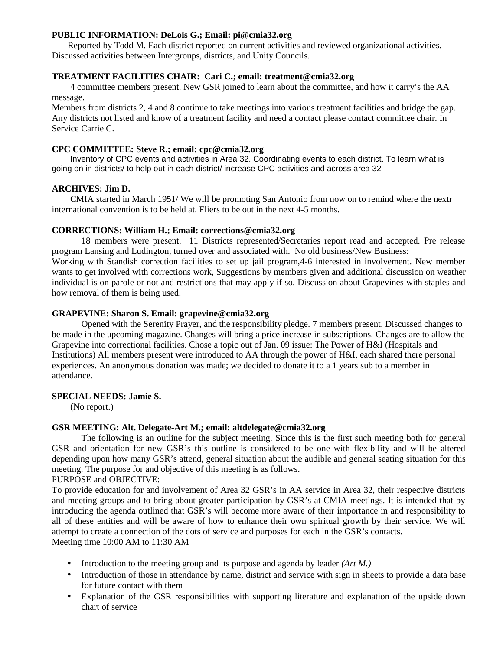#### **PUBLIC INFORMATION: DeLois G.; Email: pi@cmia32.org**

 Reported by Todd M. Each district reported on current activities and reviewed organizational activities. Discussed activities between Intergroups, districts, and Unity Councils.

#### **TREATMENT FACILITIES CHAIR: Cari C.; email: treatment@cmia32.org**

4 committee members present. New GSR joined to learn about the committee, and how it carry's the AA message.

Members from districts 2, 4 and 8 continue to take meetings into various treatment facilities and bridge the gap. Any districts not listed and know of a treatment facility and need a contact please contact committee chair. In Service Carrie C.

#### **CPC COMMITTEE: Steve R.; email: cpc@cmia32.org**

Inventory of CPC events and activities in Area 32. Coordinating events to each district. To learn what is going on in districts/ to help out in each district/ increase CPC activities and across area 32

#### **ARCHIVES: Jim D.**

CMIA started in March 1951/ We will be promoting San Antonio from now on to remind where the nextr international convention is to be held at. Fliers to be out in the next 4-5 months.

#### **CORRECTIONS: William H.; Email: corrections@cmia32.org**

18 members were present. 11 Districts represented/Secretaries report read and accepted. Pre release program Lansing and Ludington, turned over and associated with. No old business/New Business:

Working with Standish correction facilities to set up jail program,4-6 interested in involvement. New member wants to get involved with corrections work, Suggestions by members given and additional discussion on weather individual is on parole or not and restrictions that may apply if so. Discussion about Grapevines with staples and how removal of them is being used.

#### **GRAPEVINE: Sharon S. Email: grapevine@cmia32.org**

Opened with the Serenity Prayer, and the responsibility pledge. 7 members present. Discussed changes to be made in the upcoming magazine. Changes will bring a price increase in subscriptions. Changes are to allow the Grapevine into correctional facilities. Chose a topic out of Jan. 09 issue: The Power of H&I (Hospitals and Institutions) All members present were introduced to AA through the power of H&I, each shared there personal experiences. An anonymous donation was made; we decided to donate it to a 1 years sub to a member in attendance.

#### **SPECIAL NEEDS: Jamie S.**

(No report.)

#### **GSR MEETING: Alt. Delegate-Art M.; email: altdelegate@cmia32.org**

The following is an outline for the subject meeting. Since this is the first such meeting both for general GSR and orientation for new GSR's this outline is considered to be one with flexibility and will be altered depending upon how many GSR's attend, general situation about the audible and general seating situation for this meeting. The purpose for and objective of this meeting is as follows.

PURPOSE and OBJECTIVE:

To provide education for and involvement of Area 32 GSR's in AA service in Area 32, their respective districts and meeting groups and to bring about greater participation by GSR's at CMIA meetings. It is intended that by introducing the agenda outlined that GSR's will become more aware of their importance in and responsibility to all of these entities and will be aware of how to enhance their own spiritual growth by their service. We will attempt to create a connection of the dots of service and purposes for each in the GSR's contacts. Meeting time 10:00 AM to 11:30 AM

- Introduction to the meeting group and its purpose and agenda by leader *(Art M.)*
- Introduction of those in attendance by name, district and service with sign in sheets to provide a data base for future contact with them
- Explanation of the GSR responsibilities with supporting literature and explanation of the upside down chart of service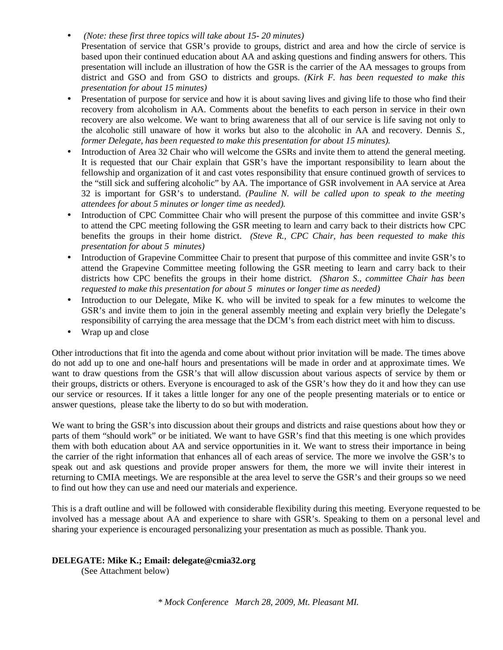- • *(Note: these first three topics will take about 15- 20 minutes)*
- Presentation of service that GSR's provide to groups, district and area and how the circle of service is based upon their continued education about AA and asking questions and finding answers for others. This presentation will include an illustration of how the GSR is the carrier of the AA messages to groups from district and GSO and from GSO to districts and groups. *(Kirk F. has been requested to make this presentation for about 15 minutes)*
- Presentation of purpose for service and how it is about saving lives and giving life to those who find their recovery from alcoholism in AA. Comments about the benefits to each person in service in their own recovery are also welcome. We want to bring awareness that all of our service is life saving not only to the alcoholic still unaware of how it works but also to the alcoholic in AA and recovery. Dennis *S., former Delegate, has been requested to make this presentation for about 15 minutes).*
- Introduction of Area 32 Chair who will welcome the GSRs and invite them to attend the general meeting. It is requested that our Chair explain that GSR's have the important responsibility to learn about the fellowship and organization of it and cast votes responsibility that ensure continued growth of services to the "still sick and suffering alcoholic" by AA. The importance of GSR involvement in AA service at Area 32 is important for GSR's to understand. *(Pauline N. will be called upon to speak to the meeting attendees for about 5 minutes or longer time as needed).*
- Introduction of CPC Committee Chair who will present the purpose of this committee and invite GSR's to attend the CPC meeting following the GSR meeting to learn and carry back to their districts how CPC benefits the groups in their home district. *(Steve R., CPC Chair, has been requested to make this presentation for about 5 minutes)*
- Introduction of Grapevine Committee Chair to present that purpose of this committee and invite GSR's to attend the Grapevine Committee meeting following the GSR meeting to learn and carry back to their districts how CPC benefits the groups in their home district. *(Sharon S., committee Chair has been requested to make this presentation for about 5 minutes or longer time as needed)*
- Introduction to our Delegate, Mike K. who will be invited to speak for a few minutes to welcome the GSR's and invite them to join in the general assembly meeting and explain very briefly the Delegate's responsibility of carrying the area message that the DCM's from each district meet with him to discuss.
- Wrap up and close

Other introductions that fit into the agenda and come about without prior invitation will be made. The times above do not add up to one and one-half hours and presentations will be made in order and at approximate times. We want to draw questions from the GSR's that will allow discussion about various aspects of service by them or their groups, districts or others. Everyone is encouraged to ask of the GSR's how they do it and how they can use our service or resources. If it takes a little longer for any one of the people presenting materials or to entice or answer questions, please take the liberty to do so but with moderation.

We want to bring the GSR's into discussion about their groups and districts and raise questions about how they or parts of them "should work" or be initiated. We want to have GSR's find that this meeting is one which provides them with both education about AA and service opportunities in it. We want to stress their importance in being the carrier of the right information that enhances all of each areas of service. The more we involve the GSR's to speak out and ask questions and provide proper answers for them, the more we will invite their interest in returning to CMIA meetings. We are responsible at the area level to serve the GSR's and their groups so we need to find out how they can use and need our materials and experience.

This is a draft outline and will be followed with considerable flexibility during this meeting. Everyone requested to be involved has a message about AA and experience to share with GSR's. Speaking to them on a personal level and sharing your experience is encouraged personalizing your presentation as much as possible. Thank you.

#### **DELEGATE: Mike K.; Email: delegate@cmia32.org**

(See Attachment below)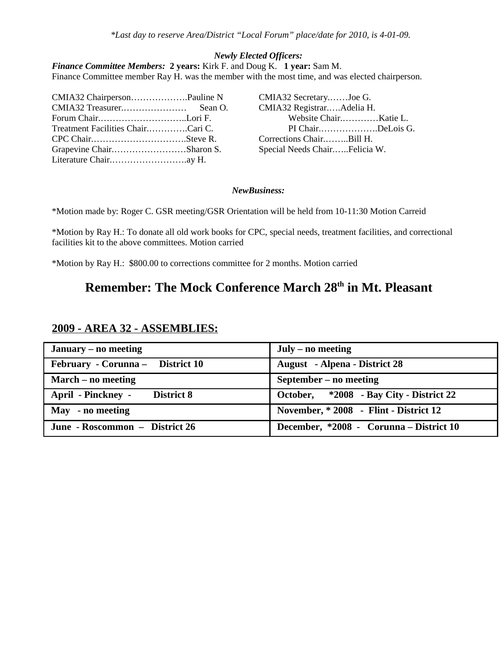#### *Newly Elected Officers:*

*Finance Committee Members:* **2 years:** Kirk F. and Doug K. **1 year:** Sam M. Finance Committee member Ray H. was the member with the most time, and was elected chairperson.

| CMIA32 ChairpersonPauline N       | CMIA32 SecretaryJoe G.        |  |
|-----------------------------------|-------------------------------|--|
|                                   | CMIA32 RegistrarAdelia H.     |  |
| Forum ChairLori F.                | Website ChairKatie L.         |  |
| Treatment Facilities ChairCari C. | PI ChairDeLois G.             |  |
|                                   | Corrections ChairBill H.      |  |
| Grapevine ChairSharon S.          | Special Needs ChairFelicia W. |  |
| Literature Chairay H.             |                               |  |

#### *NewBusiness:*

\*Motion made by: Roger C. GSR meeting/GSR Orientation will be held from 10-11:30 Motion Carreid

\*Motion by Ray H.: To donate all old work books for CPC, special needs, treatment facilities, and correctional facilities kit to the above committees. Motion carried

\*Motion by Ray H.: \$800.00 to corrections committee for 2 months. Motion carried

## **Remember: The Mock Conference March 28th in Mt. Pleasant**

| January – no meeting             | July – no meeting                       |  |
|----------------------------------|-----------------------------------------|--|
| February - Corunna - District 10 | <b>August</b> - Alpena - District 28    |  |
| March – no meeting               | September – no meeting                  |  |
| April - Pinckney - District 8    | October, *2008 - Bay City - District 22 |  |
| May - no meeting                 | November, * 2008 - Flint - District 12  |  |
| June - Roscommon – District 26   | December, *2008 - Corunna - District 10 |  |

#### **2009 - AREA 32 - ASSEMBLIES:**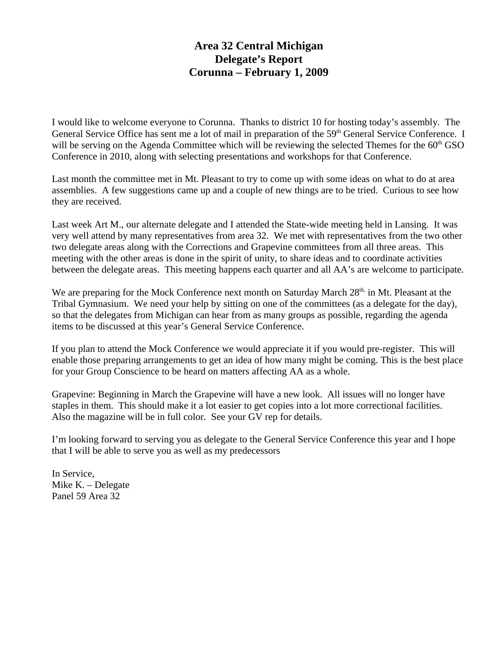### **Area 32 Central Michigan Delegate's Report Corunna – February 1, 2009**

I would like to welcome everyone to Corunna. Thanks to district 10 for hosting today's assembly. The General Service Office has sent me a lot of mail in preparation of the 59<sup>th</sup> General Service Conference. I will be serving on the Agenda Committee which will be reviewing the selected Themes for the  $60<sup>th</sup>$  GSO Conference in 2010, along with selecting presentations and workshops for that Conference.

Last month the committee met in Mt. Pleasant to try to come up with some ideas on what to do at area assemblies. A few suggestions came up and a couple of new things are to be tried. Curious to see how they are received.

Last week Art M., our alternate delegate and I attended the State-wide meeting held in Lansing. It was very well attend by many representatives from area 32. We met with representatives from the two other two delegate areas along with the Corrections and Grapevine committees from all three areas. This meeting with the other areas is done in the spirit of unity, to share ideas and to coordinate activities between the delegate areas. This meeting happens each quarter and all AA's are welcome to participate.

We are preparing for the Mock Conference next month on Saturday March 28<sup>th,</sup> in Mt. Pleasant at the Tribal Gymnasium. We need your help by sitting on one of the committees (as a delegate for the day), so that the delegates from Michigan can hear from as many groups as possible, regarding the agenda items to be discussed at this year's General Service Conference.

If you plan to attend the Mock Conference we would appreciate it if you would pre-register. This will enable those preparing arrangements to get an idea of how many might be coming. This is the best place for your Group Conscience to be heard on matters affecting AA as a whole.

Grapevine: Beginning in March the Grapevine will have a new look. All issues will no longer have staples in them. This should make it a lot easier to get copies into a lot more correctional facilities. Also the magazine will be in full color. See your GV rep for details.

I'm looking forward to serving you as delegate to the General Service Conference this year and I hope that I will be able to serve you as well as my predecessors

In Service, Mike K. – Delegate Panel 59 Area 32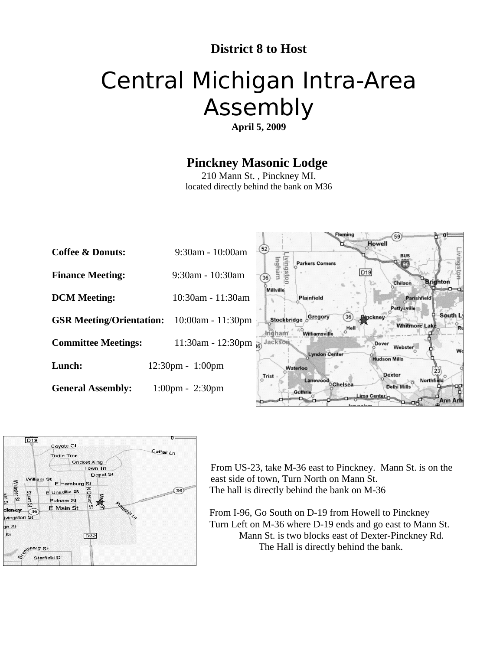## **District 8 to Host**

## Central Michigan Intra-Area Assembly

**April 5, 2009**

## **Pinckney Masonic Lodge**

210 Mann St. , Pinckney MI. located directly behind the bank on M36





From US-23, take M-36 east to Pinckney. Mann St. is on the east side of town, Turn North on Mann St. The hall is directly behind the bank on M-36

 From I-96, Go South on D-19 from Howell to Pinckney Turn Left on M-36 where D-19 ends and go east to Mann St. Mann St. is two blocks east of Dexter-Pinckney Rd. The Hall is directly behind the bank.